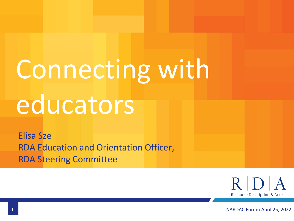# Connecting with educators

Elisa Sze RDA Education and Orientation Officer, RDA Steering Committee

> $R/D$  $\mathbf{A}$ **Resource Description & Access**

**1** NARDAC Forum April 25, 2022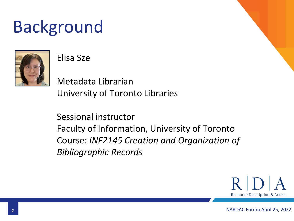### Background



#### Elisa Sze

Metadata Librarian University of Toronto Libraries

Sessional instructor Faculty of Information, University of Toronto Course: *INF2145 Creation and Organization of Bibliographic Records*

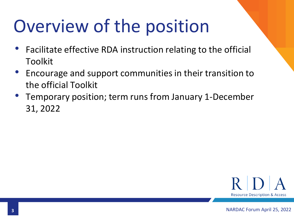### Overview of the position

- Facilitate effective RDA instruction relating to the official Toolkit
- Encourage and support communities in their transition to the official Toolkit
- Temporary position; term runs from January 1-December 31, 2022

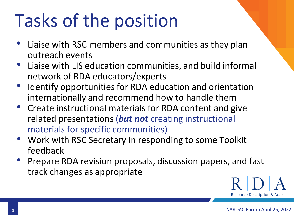## Tasks of the position

- Liaise with RSC members and communities as they plan outreach events
- Liaise with LIS education communities, and build informal network of RDA educators/experts
- Identify opportunities for RDA education and orientation internationally and recommend how to handle them
- Create instructional materials for RDA content and give related presentations (*but not* creating instructional materials for specific communities)
- Work with RSC Secretary in responding to some Toolkit feedback
- Prepare RDA revision proposals, discussion papers, and fast track changes as appropriate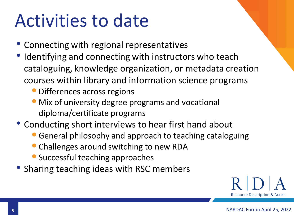#### Activities to date

- Connecting with regional representatives
- Identifying and connecting with instructors who teach cataloguing, knowledge organization, or metadata creation courses within library and information science programs
	- Differences across regions
	- Mix of university degree programs and vocational diploma/certificate programs
- Conducting short interviews to hear first hand about
	- •General philosophy and approach to teaching cataloguing
	- Challenges around switching to new RDA
	- Successful teaching approaches
- Sharing teaching ideas with RSC members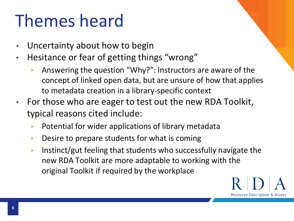#### Themes heard

- Uncertainty about how to begin
- Hesitance or fear of getting things "wrong"
	- Answering the question "Why?": Instructors are aware of the concept of linked open data, but are unsure of how that applies to metadata creation in a library-specific context
- For those who are eager to test out the new RDA Toolkit, typical reasons cited include:
	- Potential for wider applications of library metadata
	- **EXEDE FIGUREY IS COMPT THE PROTE:** Desire to prepare students for what is coming
	- Instinct/gut feeling that students who successfully navigate the new RDA Toolkit are more adaptable to working with the original Toolkit if required by the workplace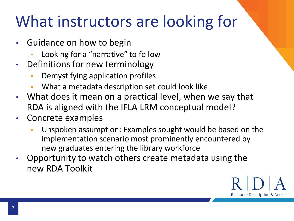#### What instructors are looking for

- Guidance on how to begin
	- Looking for a "narrative" to follow
- Definitions for new terminology
	- Demystifying application profiles
	- What a metadata description set could look like
- What does it mean on a practical level, when we say that RDA is aligned with the IFLA LRM conceptual model?
- Concrete examples
	- Unspoken assumption: Examples sought would be based on the implementation scenario most prominently encountered by new graduates entering the library workforce
- Opportunity to watch others create metadata using the new RDA Toolkit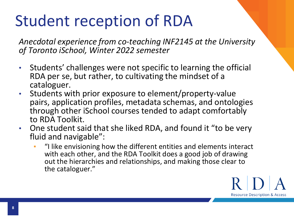#### Student reception of RDA

*Anecdotal experience from co-teaching INF2145 at the University of Toronto iSchool, Winter 2022 semester*

- Students' challenges were not specific to learning the official RDA per se, but rather, to cultivating the mindset of a cataloguer.
- Students with prior exposure to element/property-value pairs, application profiles, metadata schemas, and ontologies through other iSchool courses tended to adapt comfortably to RDA Toolkit.
- One student said that she liked RDA, and found it "to be very fluid and navigable":
	- "I like envisioning how the different entities and elements interact with each other, and the RDA Toolkit does a good job of drawing out the hierarchies and relationships, and making those clear to the cataloguer."